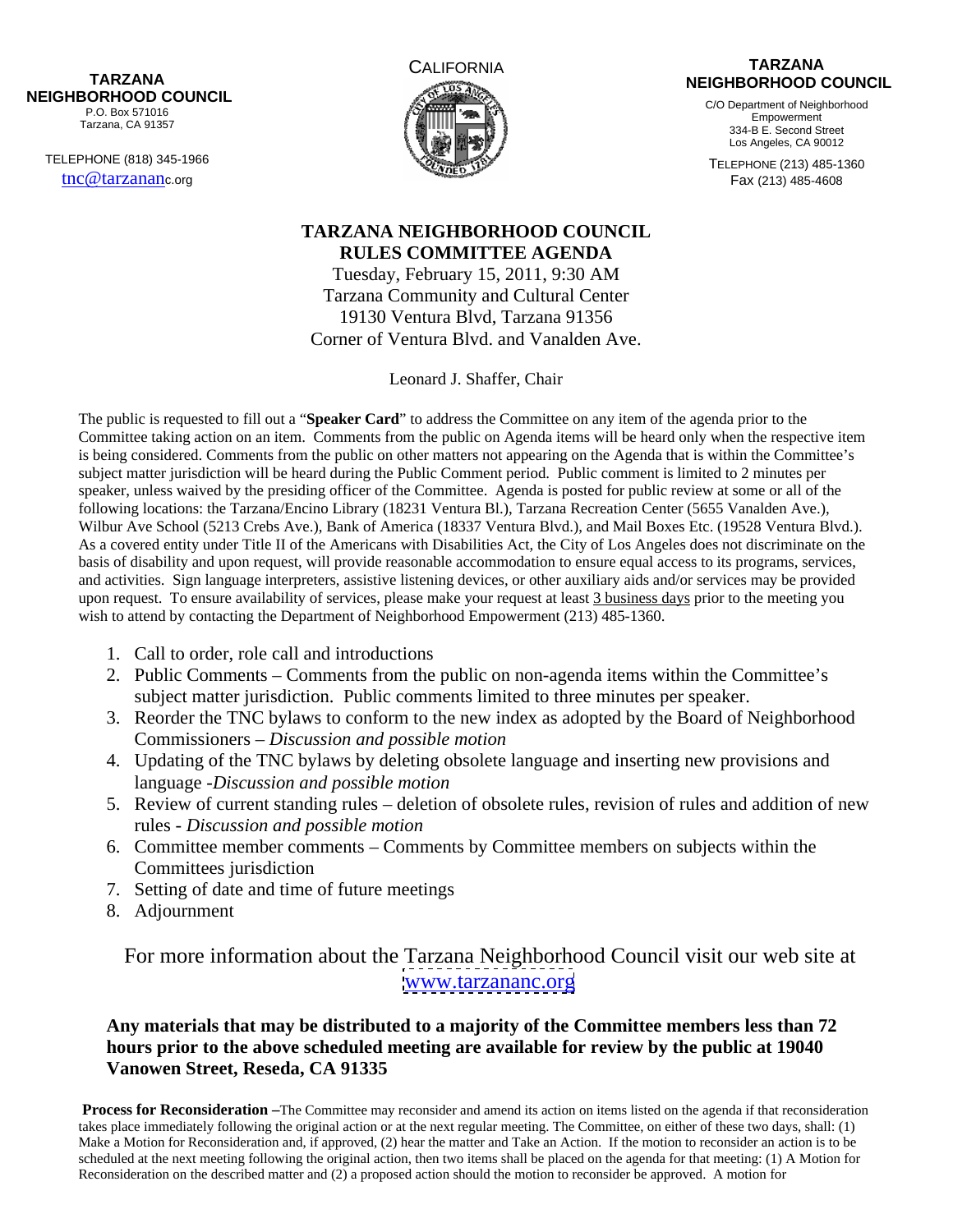**NEIGHBORHOOD COUNCIL** 

TELEPHONE (818) 345-1966



## CALIFORNIA **CALIFORNIA** TARZANA TARZANA TARZANA PEREMBENTAK SERI PEREMBENTAK SERI PEREMBENTAK SERI PEREMBENTAK SERI PEREMBENTAKAN SERI<br>TARZANA PEREMBENTAK SERI PEREMBENTAK SERI PEREMBENTAK SERI PEREMBENTAK SERI PEREMBENTAK SERI PEREMBENTAK SERI **TARZANA NEIGHBORHOOD COUNCIL**

P.O. Box 571016 **Expression Contract Contract Contract Contract Contract Contract Contract Contract Contract Contract Contract Contract Contract Contract Contract Contract Contract Contract Contract Contract Contract Contr** Tarzana, CA 91357 C/O Department of Neighborhood<br>Empowerment Empowerment 334-B E. Second Street Los Angeles, CA 90012

 $\frac{\text{trc@tarzananc.org}}{\text{trc@tarzananc.org}}$ TELEPHONE (213) 485-1360 Fax (213) 485-4608

## **TARZANA NEIGHBORHOOD COUNCIL RULES COMMITTEE AGENDA**

Tuesday, February 15, 2011, 9:30 AM Tarzana Community and Cultural Center 19130 Ventura Blvd, Tarzana 91356 Corner of Ventura Blvd. and Vanalden Ave.

Leonard J. Shaffer, Chair

The public is requested to fill out a "**Speaker Card**" to address the Committee on any item of the agenda prior to the Committee taking action on an item. Comments from the public on Agenda items will be heard only when the respective item is being considered. Comments from the public on other matters not appearing on the Agenda that is within the Committee's subject matter jurisdiction will be heard during the Public Comment period. Public comment is limited to 2 minutes per speaker, unless waived by the presiding officer of the Committee. Agenda is posted for public review at some or all of the following locations: the Tarzana/Encino Library (18231 Ventura Bl.), Tarzana Recreation Center (5655 Vanalden Ave.), Wilbur Ave School (5213 Crebs Ave.), Bank of America (18337 Ventura Blvd.), and Mail Boxes Etc. (19528 Ventura Blvd.). As a covered entity under Title II of the Americans with Disabilities Act, the City of Los Angeles does not discriminate on the basis of disability and upon request, will provide reasonable accommodation to ensure equal access to its programs, services, and activities. Sign language interpreters, assistive listening devices, or other auxiliary aids and/or services may be provided upon request. To ensure availability of services, please make your request at least 3 business days prior to the meeting you wish to attend by contacting the Department of Neighborhood Empowerment (213) 485-1360.

- 1. Call to order, role call and introductions
- 2. Public Comments Comments from the public on non-agenda items within the Committee's subject matter jurisdiction. Public comments limited to three minutes per speaker.
- 3. Reorder the TNC bylaws to conform to the new index as adopted by the Board of Neighborhood Commissioners – *Discussion and possible motion*
- 4. Updating of the TNC bylaws by deleting obsolete language and inserting new provisions and language -*Discussion and possible motion*
- 5. Review of current standing rules deletion of obsolete rules, revision of rules and addition of new rules - *Discussion and possible motion*
- 6. Committee member comments Comments by Committee members on subjects within the Committees jurisdiction
- 7. Setting of date and time of future meetings
- 8. Adjournment

For more information about the Tarzana Neighborhood Council visit our web site at [www.tarzananc.org](http://www.tarzananc.org)

**Any materials that may be distributed to a majority of the Committee members less than 72 hours prior to the above scheduled meeting are available for review by the public at 19040 Vanowen Street, Reseda, CA 91335** 

 **Process for Reconsideration –**The Committee may reconsider and amend its action on items listed on the agenda if that reconsideration takes place immediately following the original action or at the next regular meeting. The Committee, on either of these two days, shall: (1) Make a Motion for Reconsideration and, if approved, (2) hear the matter and Take scheduled at the next meeting following the original action, then two items shall be placed on the agenda for that meeting: (1) A Motion for Reconsideration on the described matter and (2) a proposed action should the motion to reconsider be approved. A motion for